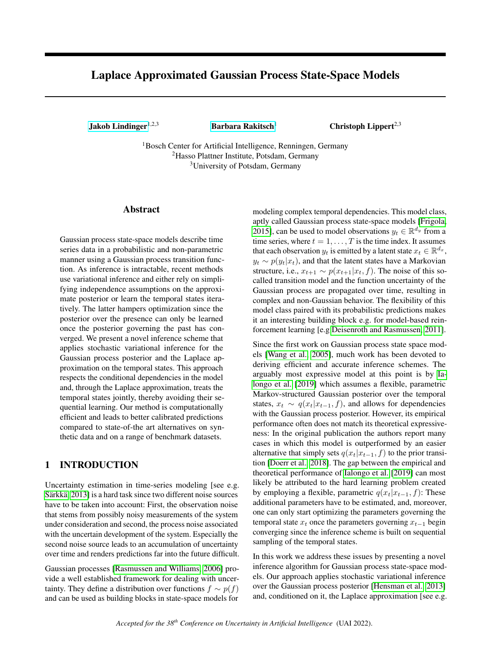# Laplace Approximated Gaussian Process State-Space Models

[Jakob Lindinger](mailto:<jakob.lindinger@sick.de>?Subject=Your UAI 2022 paper)<sup>1,2,3</sup> [Barbara Rakitsch](mailto:<barbara.rakitsch@de.bosch.com>?Subject=Your UAI 2022 paper)<sup>1</sup> Christoph Lippert<sup>2,3</sup>

<sup>1</sup>Bosch Center for Artificial Intelligence, Renningen, Germany <sup>2</sup>Hasso Plattner Institute, Potsdam, Germany <sup>3</sup>University of Potsdam, Germany

# Abstract

Gaussian process state-space models describe time series data in a probabilistic and non-parametric manner using a Gaussian process transition function. As inference is intractable, recent methods use variational inference and either rely on simplifying independence assumptions on the approximate posterior or learn the temporal states iteratively. The latter hampers optimization since the posterior over the presence can only be learned once the posterior governing the past has converged. We present a novel inference scheme that applies stochastic variational inference for the Gaussian process posterior and the Laplace approximation on the temporal states. This approach respects the conditional dependencies in the model and, through the Laplace approximation, treats the temporal states jointly, thereby avoiding their sequential learning. Our method is computationally efficient and leads to better calibrated predictions compared to state-of-the art alternatives on synthetic data and on a range of benchmark datasets.

# 1 INTRODUCTION

Uncertainty estimation in time-series modeling [see e.g. [Särkkä, 2013\]](#page-10-0) is a hard task since two different noise sources have to be taken into account: First, the observation noise that stems from possibly noisy measurements of the system under consideration and second, the process noise associated with the uncertain development of the system. Especially the second noise source leads to an accumulation of uncertainty over time and renders predictions far into the future difficult.

Gaussian processes [\[Rasmussen and Williams, 2006\]](#page-9-0) provide a well established framework for dealing with uncertainty. They define a distribution over functions  $f \sim p(f)$ and can be used as building blocks in state-space models for

modeling complex temporal dependencies. This model class, aptly called Gaussian process state-space models [\[Frigola,](#page-9-1) [2015\]](#page-9-1), can be used to model observations  $y_t \in \mathbb{R}^{d_y}$  from a time series, where  $t = 1, \ldots, T$  is the time index. It assumes that each observation  $y_t$  is emitted by a latent state  $x_t \in \mathbb{R}^{d_x}$ ,  $y_t \sim p(y_t|x_t)$ , and that the latent states have a Markovian structure, i.e.,  $x_{t+1} \sim p(x_{t+1}|x_t, f)$ . The noise of this socalled transition model and the function uncertainty of the Gaussian process are propagated over time, resulting in complex and non-Gaussian behavior. The flexibility of this model class paired with its probabilistic predictions makes it an interesting building block e.g. for model-based reinforcement learning [e.g [Deisenroth and Rasmussen, 2011\]](#page-9-2).

Since the first work on Gaussian process state space models [\[Wang et al., 2005\]](#page-10-1), much work has been devoted to deriving efficient and accurate inference schemes. The arguably most expressive model at this point is by [Ia](#page-9-3)[longo et al.](#page-9-3) [\[2019\]](#page-9-3) which assumes a flexible, parametric Markov-structured Gaussian posterior over the temporal states,  $x_t \sim q(x_t | x_{t-1}, f)$ , and allows for dependencies with the Gaussian process posterior. However, its empirical performance often does not match its theoretical expressiveness: In the original publication the authors report many cases in which this model is outperformed by an easier alternative that simply sets  $q(x_t|x_{t-1}, f)$  to the prior transition [\[Doerr et al., 2018\]](#page-9-4). The gap between the empirical and theoretical performance of [Ialongo et al.](#page-9-3) [\[2019\]](#page-9-3) can most likely be attributed to the hard learning problem created by employing a flexible, parametric  $q(x_t|x_{t-1}, f)$ : These additional parameters have to be estimated, and, moreover, one can only start optimizing the parameters governing the temporal state  $x_t$  once the parameters governing  $x_{t-1}$  begin converging since the inference scheme is built on sequential sampling of the temporal states.

In this work we address these issues by presenting a novel inference algorithm for Gaussian process state-space models. Our approach applies stochastic variational inference over the Gaussian process posterior [\[Hensman et al., 2013\]](#page-9-5) and, conditioned on it, the Laplace approximation [see e.g.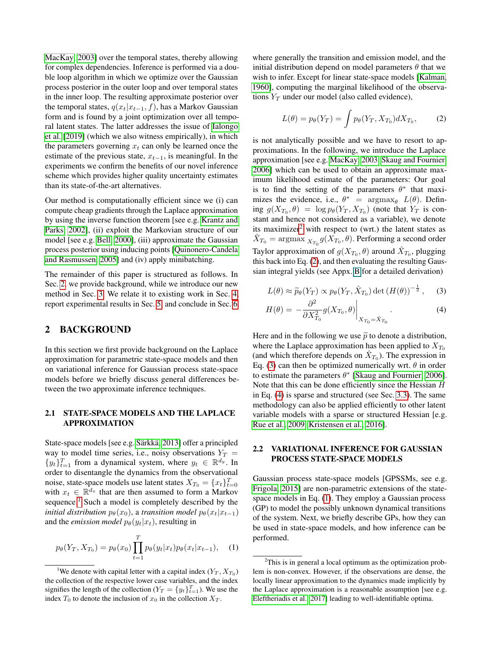[MacKay, 2003\]](#page-9-6) over the temporal states, thereby allowing for complex dependencies. Inference is performed via a double loop algorithm in which we optimize over the Gaussian process posterior in the outer loop and over temporal states in the inner loop. The resulting approximate posterior over the temporal states,  $q(x_t|x_{t-1}, f)$ , has a Markov Gaussian form and is found by a joint optimization over all temporal latent states. The latter addresses the issue of [Ialongo](#page-9-3) [et al.](#page-9-3) [\[2019\]](#page-9-3) (which we also witness empirically), in which the parameters governing  $x_t$  can only be learned once the estimate of the previous state,  $x_{t-1}$ , is meaningful. In the experiments we confirm the benefits of our novel inference scheme which provides higher quality uncertainty estimates than its state-of-the-art alternatives.

Our method is computationally efficient since we (i) can compute cheap gradients through the Laplace approximation by using the inverse function theorem [see e.g. [Krantz and](#page-9-7) [Parks, 2002\]](#page-9-7), (ii) exploit the Markovian structure of our model [see e.g. [Bell, 2000\]](#page-9-8), (iii) approximate the Gaussian process posterior using inducing points [\[Quinonero-Candela](#page-9-9) [and Rasmussen, 2005\]](#page-9-9) and (iv) apply minibatching.

The remainder of this paper is structured as follows. In Sec. [2,](#page-1-0) we provide background, while we introduce our new method in Sec. [3.](#page-3-0) We relate it to existing work in Sec. [4,](#page-5-0) report experimental results in Sec. [5,](#page-6-0) and conclude in Sec. [6.](#page-8-0)

# <span id="page-1-0"></span>2 BACKGROUND

In this section we first provide background on the Laplace approximation for parametric state-space models and then on variational inference for Gaussian process state-space models before we briefly discuss general differences between the two approximate inference techniques.

### <span id="page-1-7"></span>2.1 STATE-SPACE MODELS AND THE LAPLACE APPROXIMATION

State-space models [see e.g. [Särkkä, 2013\]](#page-10-0) offer a principled way to model time series, i.e., noisy observations  $Y_T =$  $\{y_t\}_{t=1}^T$  from a dynamical system, where  $y_t \in \mathbb{R}^{d_y}$ . In order to disentangle the dynamics from the observational noise, state-space models use latent states  $X_{T_0} = \{x_t\}_{t=0}^T$ with  $x_t \in \mathbb{R}^{d_x}$  that are then assumed to form a Markov sequence.<sup>[1](#page-1-1)</sup> Such a model is completely described by the *initial distribution*  $p_{\theta}(x_0)$ , a *transition model*  $p_{\theta}(x_t|x_{t-1})$ and the *emission model*  $p_{\theta}(y_t|x_t)$ , resulting in

<span id="page-1-6"></span>
$$
p_{\theta}(Y_T, X_{T_0}) = p_{\theta}(x_0) \prod_{t=1}^T p_{\theta}(y_t | x_t) p_{\theta}(x_t | x_{t-1}), \quad (1)
$$

where generally the transition and emission model, and the initial distribution depend on model parameters  $\theta$  that we wish to infer. Except for linear state-space models [\[Kalman,](#page-9-10) [1960\]](#page-9-10), computing the marginal likelihood of the observations  $Y_T$  under our model (also called evidence),

<span id="page-1-3"></span>
$$
L(\theta) = p_{\theta}(Y_T) = \int p_{\theta}(Y_T, X_{T_0}) dX_{T_0}, \qquad (2)
$$

is not analytically possible and we have to resort to approximations. In the following, we introduce the Laplace approximation [see e.g. [MacKay, 2003,](#page-9-6) [Skaug and Fournier,](#page-10-2) [2006\]](#page-10-2) which can be used to obtain an approximate maximum likelihood estimate of the parameters: Our goal is to find the setting of the parameters  $\theta^*$  that maximizes the evidence, i.e.,  $\theta^*$  =  $\arg \max_{\theta} L(\theta)$ . Defining  $g(X_{T_0}, \theta) = \log p_{\theta}(Y_T, X_{T_0})$  (note that  $Y_T$  is constant and hence not considered as a variable), we denote its maximizer<sup>[2](#page-1-2)</sup> with respect to (wrt.) the latent states as  $\hat{X}_{T_0} = \arg\!\max_{X_{T_0}} g(\hat{X_{T_0}}, \theta).$  Performing a second order Taylor approximation of  $g(X_{T_0}, \theta)$  around  $\hat{X}_{T_0}$ , plugging this back into Eq. [\(2\)](#page-1-3), and then evaluating the resulting Gaussian integral yields (see Appx. B for a detailed derivation)

<span id="page-1-5"></span><span id="page-1-4"></span>
$$
L(\theta) \approx \widetilde{p}_{\theta}(Y_T) \propto p_{\theta}(Y_T, \hat{X}_{T_0}) \det \left( H(\theta) \right)^{-\frac{1}{2}}, \quad (3)
$$

$$
H(\theta) = -\frac{\partial^2}{\partial X_{T_0}^2} g(X_{T_0}, \theta) \Big|_{X_{T_0} = \hat{X}_{T_0}}.
$$
\n(4)

Here and in the following we use  $\tilde{p}$  to denote a distribution, where the Laplace approximation has been applied to  $X_{T_0}$ (and which therefore depends on  $\hat{X}_{T_0}$ ). The expression in Eq. [\(3\)](#page-1-4) can then be optimized numerically wrt.  $\theta$  in order to estimate the parameters  $\theta^*$  [\[Skaug and Fournier, 2006\]](#page-10-2). Note that this can be done efficiently since the Hessian H in Eq. [\(4\)](#page-1-5) is sparse and structured (see Sec. [3.3\)](#page-4-0). The same methodology can also be applied efficiently to other latent variable models with a sparse or structured Hessian [e.g. [Rue et al., 2009,](#page-10-3) [Kristensen et al., 2016\]](#page-9-11).

# <span id="page-1-8"></span>2.2 VARIATIONAL INFERENCE FOR GAUSSIAN PROCESS STATE-SPACE MODELS

Gaussian process state-space models [GPSSMs, see e.g. [Frigola, 2015\]](#page-9-1) are non-parametric extensions of the statespace models in Eq. [\(1\)](#page-1-6). They employ a Gaussian process (GP) to model the possibly unknown dynamical transitions of the system. Next, we briefly describe GPs, how they can be used in state-space models, and how inference can be performed.

<span id="page-1-1"></span><sup>&</sup>lt;sup>1</sup>We denote with capital letter with a capital index  $(Y_T, X_{T_0})$ the collection of the respective lower case variables, and the index signifies the length of the collection ( $Y_T = \{y_t\}_{t=1}^T$ ). We use the index  $T_0$  to denote the inclusion of  $x_0$  in the collection  $X_T$ .

<span id="page-1-2"></span> $2$ This is in general a local optimum as the optimization problem is non-convex. However, if the observations are dense, the locally linear approximation to the dynamics made implicitly by the Laplace approximation is a reasonable assumption [see e.g. [Eleftheriadis et al., 2017\]](#page-9-12) leading to well-identifiable optima.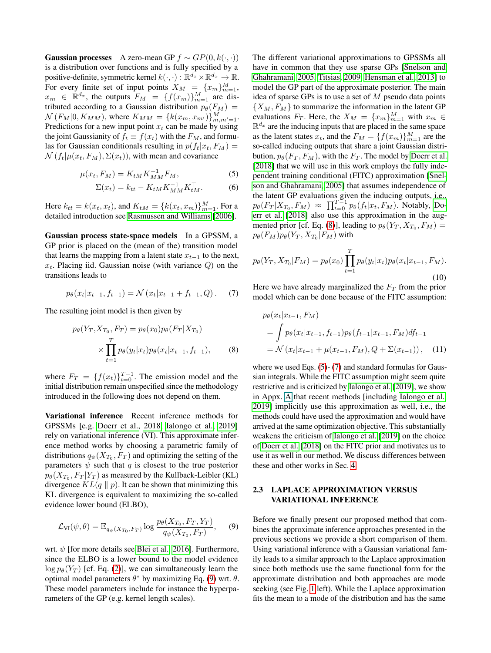Gaussian processes A zero-mean GP  $f \sim GP(0, k(\cdot, \cdot))$ is a distribution over functions and is fully specified by a positive-definite, symmetric kernel  $k(\cdot, \cdot) : \mathbb{R}^{d_x} \times \mathbb{R}^{d_x} \to \mathbb{R}$ . For every finite set of input points  $X_M = \{x_m\}_{m=1}^M$ ,  $x_m \in \mathbb{R}^{d_x}$ , the outputs  $F_M = \{f(x_m)\}_{m=1}^M$  are distributed according to a Gaussian distribution  $p_{\theta}(F_M)$  =  $\mathcal{N}(F_M|0, K_{MM})$ , where  $K_{MM} = \{k(x_m, x_{m'})\}_{m,m'=1}^M$ . Predictions for a new input point  $x_t$  can be made by using the joint Gaussianity of  $f_t \equiv f(x_t)$  with the  $F_M$ , and formulas for Gaussian conditionals resulting in  $p(f_t|x_t, F_M)$  =  $\mathcal{N}(f_t|\mu(x_t, F_M), \Sigma(x_t))$ , with mean and covariance

$$
\mu(x_t, F_M) = K_{tM} K_{MM}^{-1} F_M,
$$
\n(5)

$$
\Sigma(x_t) = k_{tt} - K_{tM} K_{MM}^{-1} K_{tM}^\top.
$$
 (6)

Here  $k_{tt} = k(x_t, x_t)$ , and  $K_{tM} = \{k(x_t, x_m)\}_{m=1}^{M}$ . For a detailed introduction see [Rasmussen and Williams](#page-9-0) [\[2006\]](#page-9-0).

Gaussian process state-space models In a GPSSM, a GP prior is placed on the (mean of the) transition model that learns the mapping from a latent state  $x_{t-1}$  to the next,  $x_t$ . Placing iid. Gaussian noise (with variance Q) on the transitions leads to

<span id="page-2-3"></span>
$$
p_{\theta}(x_t | x_{t-1}, f_{t-1}) = \mathcal{N}(x_t | x_{t-1} + f_{t-1}, Q). \tag{7}
$$

The resulting joint model is then given by

$$
p_{\theta}(Y_T, X_{T_0}, F_T) = p_{\theta}(x_0) p_{\theta}(F_T | X_{T_0})
$$

$$
\times \prod_{t=1}^T p_{\theta}(y_t | x_t) p_{\theta}(x_t | x_{t-1}, f_{t-1}), \qquad (8)
$$

where  $F_T = \{f(x_t)\}_{t=0}^{T-1}$ . The emission model and the initial distribution remain unspecified since the methodology introduced in the following does not depend on them.

Variational inference Recent inference methods for GPSSMs [e.g. [Doerr et al., 2018,](#page-9-4) [Ialongo et al., 2019\]](#page-9-3) rely on variational inference (VI). This approximate inference method works by choosing a parametric family of distributions  $q_{\psi}(X_{T_0}, F_T)$  and optimizing the setting of the parameters  $\psi$  such that q is closest to the true posterior  $p_{\theta}(X_{T_0}, F_T | Y_T)$  as measured by the Kullback-Leibler (KL) divergence  $KL(q \parallel p)$ . It can be shown that minimizing this KL divergence is equivalent to maximizing the so-called evidence lower bound (ELBO),

<span id="page-2-0"></span>
$$
\mathcal{L}_{VI}(\psi,\theta) = \mathbb{E}_{q_{\psi}(X_{T_0},F_T)} \log \frac{p_{\theta}(X_{T_0},F_T,Y_T)}{q_{\psi}(X_{T_0},F_T)},\quad (9)
$$

wrt.  $\psi$  [for more details see [Blei et al., 2016\]](#page-9-13). Furthermore, since the ELBO is a lower bound to the model evidence  $\log p_{\theta}(Y_T)$  [cf. Eq. [\(2\)](#page-1-3)], we can simultaneously learn the optimal model parameters  $\theta^*$  by maximizing Eq. [\(9\)](#page-2-0) wrt.  $\theta$ . These model parameters include for instance the hyperparameters of the GP (e.g. kernel length scales).

The different variational approximations to GPSSMs all have in common that they use sparse GPs [\[Snelson and](#page-10-4) [Ghahramani, 2005,](#page-10-4) [Titsias, 2009,](#page-10-5) [Hensman et al., 2013\]](#page-9-5) to model the GP part of the approximate posterior. The main idea of sparse GPs is to use a set of  $M$  pseudo data points  $\{X_M, F_M\}$  to summarize the information in the latent GP evaluations  $F_T$ . Here, the  $X_M = \{x_m\}_{m=1}^M$  with  $x_m \in$  $\mathbb{R}^{d_x}$  are the inducing inputs that are placed in the same space as the latent states  $x_t$ , and the  $F_M = \{f(x_m)\}_{m=1}^M$  are the so-called inducing outputs that share a joint Gaussian distribution,  $p_{\theta}(F_T, F_M)$ , with the  $F_T$ . The model by [Doerr et al.](#page-9-4) [\[2018\]](#page-9-4) that we will use in this work employs the fully independent training conditional (FITC) approximation [\[Snel](#page-10-4)[son and Ghahramani, 2005\]](#page-10-4) that assumes independence of the latent GP evaluations given the inducing outputs, i.e.,  $p_{\theta}(F_T | X_{T_0}, F_M) \approx \prod_{t=0}^{T-1} p_{\theta}(f_t | x_t, F_M)$ . Notably, [Do](#page-9-4)[err et al.](#page-9-4) [\[2018\]](#page-9-4) also use this approximation in the aug-mented prior [cf. Eq. [\(8\)](#page-2-1)], leading to  $p_{\theta}(Y_T, X_{T_0}, F_M) =$  $p_{\theta}(F_M) p_{\theta}(Y_T, X_{T_0}|F_M)$  with

<span id="page-2-4"></span><span id="page-2-2"></span>
$$
p_{\theta}(Y_T, X_{T_0}|F_M) = p_{\theta}(x_0) \prod_{t=1}^T p_{\theta}(y_t|x_t) p_{\theta}(x_t|x_{t-1}, F_M).
$$
\n(10)

Here we have already marginalized the  $F_T$  from the prior model which can be done because of the FITC assumption:

<span id="page-2-5"></span>
$$
p_{\theta}(x_t|x_{t-1}, F_M)
$$
  
=  $\int p_{\theta}(x_t|x_{t-1}, f_{t-1})p_{\theta}(f_{t-1}|x_{t-1}, F_M)df_{t-1}$   
=  $\mathcal{N}(x_t|x_{t-1} + \mu(x_{t-1}, F_M), Q + \Sigma(x_{t-1})),$  (11)

<span id="page-2-1"></span>where we used Eqs. [\(5\)](#page-2-2)- [\(7\)](#page-2-3) and standard formulas for Gaussian integrals. While the FITC assumption might seem quite restrictive and is criticized by [Ialongo et al.](#page-9-3) [\[2019\]](#page-9-3), we show in Appx. A that recent methods [including [Ialongo et al.,](#page-9-3) [2019\]](#page-9-3) implicitly use this approximation as well, i.e., the methods could have used the approximation and would have arrived at the same optimization objective. This substantially weakens the criticism of [Ialongo et al.](#page-9-3) [\[2019\]](#page-9-3) on the choice of [Doerr et al.](#page-9-4) [\[2018\]](#page-9-4) on the FITC prior and motivates us to use it as well in our method. We discuss differences between these and other works in Sec. [4.](#page-5-0)

### 2.3 LAPLACE APPROXIMATION VERSUS VARIATIONAL INFERENCE

Before we finally present our proposed method that combines the approximate inference approaches presented in the previous sections we provide a short comparison of them. Using variational inference with a Gaussian variational family leads to a similar approach to the Laplace approximation since both methods use the same functional form for the approximate distribution and both approaches are mode seeking (see Fig. [1](#page-3-1) left). While the Laplace approximation fits the mean to a mode of the distribution and has the same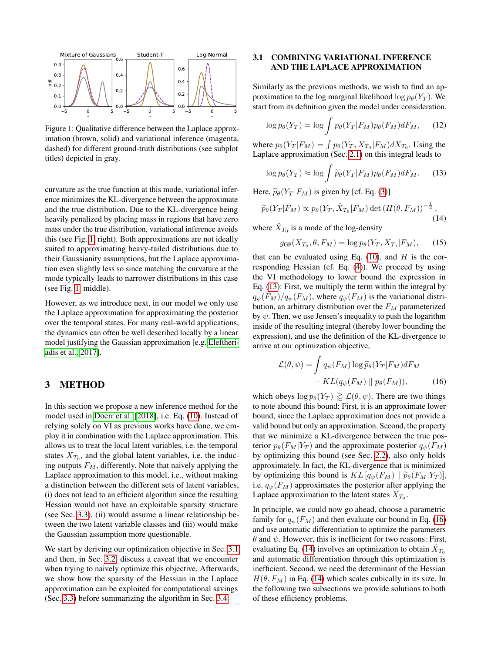<span id="page-3-1"></span>

Figure 1: Qualitative difference between the Laplace approximation (brown, solid) and variational inference (magenta, dashed) for different ground-truth distributions (see subplot titles) depicted in gray.

curvature as the true function at this mode, variational inference minimizes the KL-divergence between the approximate and the true distribution. Due to the KL-divergence being heavily penalized by placing mass in regions that have zero mass under the true distribution, variational inference avoids this (see Fig. [1,](#page-3-1) right). Both approximations are not ideally suited to approximating heavy-tailed distributions due to their Gaussianity assumptions, but the Laplace approximation even slightly less so since matching the curvature at the mode typically leads to narrower distributions in this case (see Fig. [1,](#page-3-1) middle).

However, as we introduce next, in our model we only use the Laplace approximation for approximating the posterior over the temporal states. For many real-world applications, the dynamics can often be well described locally by a linear model justifying the Gaussian approximation [e.g. [Eleftheri](#page-9-12)[adis et al., 2017\]](#page-9-12).

# <span id="page-3-0"></span>3 METHOD

In this section we propose a new inference method for the model used in [Doerr et al.](#page-9-4) [\[2018\]](#page-9-4), i.e. Eq. [\(10\)](#page-2-4). Instead of relying solely on VI as previous works have done, we employ it in combination with the Laplace approximation. This allows us to treat the local latent variables, i.e. the temporal states  $X_{T_0}$ , and the global latent variables, i.e. the inducing outputs  $F_M$ , differently. Note that naively applying the Laplace approximation to this model, i.e., without making a distinction between the different sets of latent variables, (i) does not lead to an efficient algorithm since the resulting Hessian would not have an exploitable sparsity structure (see Sec. [3.3\)](#page-4-0), (ii) would assume a linear relationship between the two latent variable classes and (iii) would make the Gaussian assumption more questionable.

We start by deriving our optimization objective in Sec. [3.1](#page-3-2) and then, in Sec. [3.2,](#page-4-1) discuss a caveat that we encounter when trying to naively optimize this objective. Afterwards, we show how the sparsity of the Hessian in the Laplace approximation can be exploited for computational savings (Sec. [3.3\)](#page-4-0) before summarizing the algorithm in Sec. [3.4.](#page-5-1)

# <span id="page-3-2"></span>3.1 COMBINING VARIATIONAL INFERENCE AND THE LAPLACE APPROXIMATION

Similarly as the previous methods, we wish to find an approximation to the log marginal likelihood log  $p_{\theta}(Y_T)$ . We start from its definition given the model under consideration,

$$
\log p_{\theta}(Y_T) = \log \int p_{\theta}(Y_T|F_M)p_{\theta}(F_M)dF_M, \quad (12)
$$

where  $p_{\theta}(Y_T | F_M) = \int p_{\theta}(Y_T, X_{T_0} | F_M) dX_{T_0}$ . Using the Laplace approximation (Sec. [2.1\)](#page-1-7) on this integral leads to

<span id="page-3-3"></span>
$$
\log p_{\theta}(Y_T) \approx \log \int \widetilde{p}_{\theta}(Y_T|F_M)p_{\theta}(F_M)dF_M.
$$
 (13)

Here,  $\tilde{p}_{\theta}(Y_T | F_M)$  is given by [cf. Eq. [\(3\)](#page-1-4)]

<span id="page-3-5"></span>
$$
\widetilde{p}_{\theta}(Y_T|F_M) \propto p_{\theta}(Y_T, \hat{X}_{T_0}|F_M) \det\left(H(\theta, F_M)\right)^{-\frac{1}{2}},\tag{14}
$$

where  $\hat{X}_{T_0}$  is a mode of the log-density

<span id="page-3-6"></span>
$$
g_{\text{GP}}(X_{T_0}, \theta, F_M) = \log p_{\theta}(Y_T, X_{T_0}|F_M), \qquad (15)
$$

that can be evaluated using Eq.  $(10)$ , and H is the corresponding Hessian (cf. Eq. [\(4\)](#page-1-5)). We proceed by using the VI methodology to lower bound the expression in Eq. [\(13\)](#page-3-3): First, we multiply the term within the integral by  $q_{\psi}(F_M)/q_{\psi}(F_M)$ , where  $q_{\psi}(F_M)$  is the variational distribution, an arbitrary distribution over the  $F_M$  parameterized by  $\psi$ . Then, we use Jensen's inequality to push the logarithm inside of the resulting integral (thereby lower bounding the expression), and use the definition of the KL-divergence to arrive at our optimization objective,

<span id="page-3-4"></span>
$$
\mathcal{L}(\theta, \psi) = \int q_{\psi}(F_M) \log \widetilde{p}_{\theta}(Y_T|F_M) dF_M - KL(q_{\psi}(F_M) \parallel p_{\theta}(F_M)),
$$
 (16)

which obeys  $\log p_{\theta}(Y_T) \gtrapprox \mathcal{L}(\theta, \psi)$ . There are two things to note abound this bound: First, it is an approximate lower bound, since the Laplace approximation does not provide a valid bound but only an approximation. Second, the property that we minimize a KL-divergence between the true posterior  $p_{\theta}(F_M|Y_T)$  and the approximate posterior  $q_{\psi}(F_M)$ by optimizing this bound (see Sec. [2.2\)](#page-1-8), also only holds approximately. In fact, the KL-divergence that is minimized by optimizing this bound is  $KL[q_{\psi}(F_M) \mid \widetilde{p}_{\theta}(F_M|Y_T)],$ i.e.  $q_{\psi}(F_M)$  approximates the posterior after applying the Laplace approximation to the latent states  $X_{T_0}$ .

In principle, we could now go ahead, choose a parametric family for  $q_{\psi}(F_M)$  and then evaluate our bound in Eq. [\(16\)](#page-3-4) and use automatic differentiation to optimize the parameters  $\theta$  and  $\psi$ . However, this is inefficient for two reasons: First, evaluating Eq. [\(14\)](#page-3-5) involves an optimization to obtain  $\hat{X}_{T_0}$ and automatic differentiation through this optimization is inefficient. Second, we need the determinant of the Hessian  $H(\theta, F_M)$  in Eq. [\(14\)](#page-3-5) which scales cubically in its size. In the following two subsections we provide solutions to both of these efficiency problems.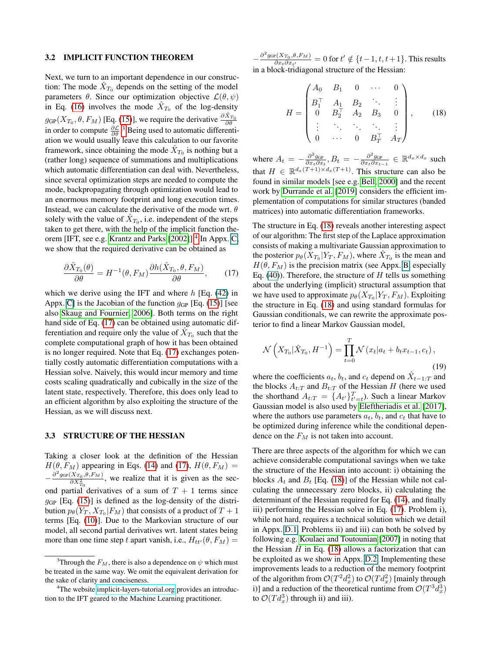#### <span id="page-4-1"></span>3.2 IMPLICIT FUNCTION THEOREM

Next, we turn to an important dependence in our construction: The mode  $\hat{X}_{T_0}$  depends on the setting of the model parameters  $\theta$ . Since our optimization objective  $\mathcal{L}(\theta, \psi)$ in Eq. [\(16\)](#page-3-4) involves the mode  $\hat{X}_{T_0}$  of the log-density  $g_{\text{GP}}(X_{T_0}, \theta, F_M)$  [Eq. [\(15\)](#page-3-6)], we require the derivative  $\frac{\partial \hat{X}_{T_0}}{\partial \theta}$ in order to compute  $\frac{\partial \mathcal{L}}{\partial \theta}$ .<sup>[3](#page-4-2)</sup> Being used to automatic differentiation we would usually leave this calculation to our favorite framework, since obtaining the mode  $\hat{X}_{T_0}$  is nothing but a (rather long) sequence of summations and multiplications which automatic differentiation can deal with. Nevertheless, since several optimization steps are needed to compute the mode, backpropagating through optimization would lead to an enormous memory footprint and long execution times. Instead, we can calculate the derivative of the mode wrt.  $\theta$ solely with the value of  $\hat{X}_{T_0}$ , i.e. independent of the steps taken to get there, with the help of the implicit function the-orem [IFT, see e.g. [Krantz and Parks](#page-9-7) [\[2002\]](#page-9-7)].<sup>[4](#page-4-3)</sup> In Appx. C, we show that the required derivative can be obtained as

<span id="page-4-4"></span>
$$
\frac{\partial \hat{X}_{T_0}(\theta)}{\partial \theta} = H^{-1}(\theta, F_M) \frac{\partial h(\hat{X}_{T_0}, \theta, F_M)}{\partial \theta}, \quad (17)
$$

which we derive using the IFT and where  $h$  [Eq. (42) in Appx. C] is the Jacobian of the function  $g_{GP}$  [Eq. [\(15\)](#page-3-6)] [see also [Skaug and Fournier, 2006\]](#page-10-2). Both terms on the right hand side of Eq. [\(17\)](#page-4-4) can be obtained using automatic differentiation and require only the value of  $\tilde{X}_{T_0}$  such that the complete computational graph of how it has been obtained is no longer required. Note that Eq. [\(17\)](#page-4-4) exchanges potentially costly automatic differentiation computations with a Hessian solve. Naively, this would incur memory and time costs scaling quadratically and cubically in the size of the latent state, respectively. Therefore, this does only lead to an efficient algorithm by also exploiting the structure of the Hessian, as we will discuss next.

#### <span id="page-4-0"></span>3.3 STRUCTURE OF THE HESSIAN

Taking a closer look at the definition of the Hessian  $H(\theta, F_M)$  appearing in Eqs. [\(14\)](#page-3-5) and [\(17\)](#page-4-4),  $H(\theta, F_M)$  =  $-\frac{\partial^2 g_{\text{GP}}(X_{T_0}, \theta, F_M)}{\partial X^2}$ , we realize that it is given as the sec- $\overline{\partial X^2_{T_0}}$ ond partial derivatives of a sum of  $T + 1$  terms since  $g_{GP}$  [Eq. [\(15\)](#page-3-6)] is defined as the log-density of the distribution  $p_\theta(Y_T, X_{T_0}|F_M)$  that consists of a product of  $T+1$ terms [Eq. [\(10\)](#page-2-4)]. Due to the Markovian structure of our model, all second partial derivatives wrt. latent states being more than one time step t apart vanish, i.e.,  $H_{tt'}(\theta, F_M)$  =

 $-\frac{\partial^2 g_{\text{GP}}(X_{T_0},\theta, F_M)}{\partial x_i \partial x_j}$  $\frac{\partial P(X_{T_0}, \theta, F_M)}{\partial x_t \partial x_{t'}} = 0$  for  $t' \notin \{t-1, t, t+1\}$ . This results in a block-tridiagonal structure of the Hessian:

<span id="page-4-5"></span>
$$
H = \begin{pmatrix} A_0 & B_1 & 0 & \cdots & 0 \\ B_1^{\top} & A_1 & B_2 & \ddots & \vdots \\ 0 & B_2^{\top} & A_2 & B_3 & 0 \\ \vdots & \ddots & \ddots & \ddots & \vdots \\ 0 & \cdots & 0 & B_T^{\top} & A_T \end{pmatrix},
$$
 (18)

where  $A_t = -\frac{\partial^2 g_{GP}}{\partial x_t \partial x_t}$ ,  $B_t = -\frac{\partial^2 g_{GP}}{\partial x_t \partial x_{t-1}} \in \mathbb{R}^{d_x \times d_x}$  such that  $H \in \mathbb{R}^{d_x(T+1) \times d_x(T+1)}$ . This structure can also be found in similar models [see e.g. [Bell, 2000\]](#page-9-8) and the recent work by [Durrande et al.](#page-9-14) [\[2019\]](#page-9-14) considers the efficient implementation of computations for similar structures (banded matrices) into automatic differentiation frameworks.

The structure in Eq. [\(18\)](#page-4-5) reveals another interesting aspect of our algorithm: The first step of the Laplace approximation consists of making a multivariate Gaussian approximation to the posterior  $p_{\theta}(X_{T_0}|Y_T, F_M)$ , where  $\hat{X}_{T_0}$  is the mean and  $H(\theta, F_M)$  is the precision matrix (see Appx. B, especially Eq. (40)). Therefore, the structure of  $H$  tells us something about the underlying (implicit) structural assumption that we have used to approximate  $p_{\theta}(X_{T_0}|Y_T, F_M)$ . Exploiting the structure in Eq. [\(18\)](#page-4-5) and using standard formulas for Gaussian conditionals, we can rewrite the approximate posterior to find a linear Markov Gaussian model,

$$
\mathcal{N}\left(X_{T_0}|\hat{X}_{T_0}, H^{-1}\right) = \prod_{t=0}^T \mathcal{N}\left(x_t|a_t + b_t x_{t-1}, c_t\right),\tag{19}
$$

where the coefficients  $a_t$ ,  $b_t$ , and  $c_t$  depend on  $\hat{X}_{t-1:T}$  and the blocks  $A_{t:T}$  and  $B_{t:T}$  of the Hessian H (here we used the shorthand  $A_{t:T} = \{A_{t'}\}_{t'=t}^T$ ). Such a linear Markov Gaussian model is also used by [Eleftheriadis et al.](#page-9-12) [\[2017\]](#page-9-12), where the authors use parameters  $a_t$ ,  $b_t$ , and  $c_t$  that have to be optimized during inference while the conditional dependence on the  $F_M$  is not taken into account.

There are three aspects of the algorithm for which we can achieve considerable computational savings when we take the structure of the Hessian into account: i) obtaining the blocks  $A_t$  and  $B_t$  [Eq. [\(18\)](#page-4-5)] of the Hessian while not calculating the unnecessary zero blocks, ii) calculating the determinant of the Hessian required for Eq. [\(14\)](#page-3-5), and finally iii) performing the Hessian solve in Eq. [\(17\)](#page-4-4). Problem i), while not hard, requires a technical solution which we detail in Appx. D.1. Problems ii) and iii) can both be solved by following e.g. [Koulaei and Toutounian](#page-9-15) [\[2007\]](#page-9-15) in noting that the Hessian  $H$  in Eq. [\(18\)](#page-4-5) allows a factorization that can be exploited as we show in Appx. D.2. Implementing these improvements leads to a reduction of the memory footprint of the algorithm from  $\mathcal{O}(T^2d_x^2)$  to  $\mathcal{O}(Td_x^2)$  [mainly through i)] and a reduction of the theoretical runtime from  $\mathcal{O}(T^3 d_x^3)$ to  $\mathcal{O}(Td_x^3)$  through ii) and iii).

<span id="page-4-2"></span><sup>&</sup>lt;sup>3</sup>Through the  $F_M$ , there is also a dependence on  $\psi$  which must be treated in the same way. We omit the equivalent derivation for the sake of clarity and conciseness.

<span id="page-4-3"></span><sup>&</sup>lt;sup>4</sup>The website [implicit-layers-tutorial.org](http://implicit-layers-tutorial.org/) provides an introduction to the IFT geared to the Machine Learning practitioner.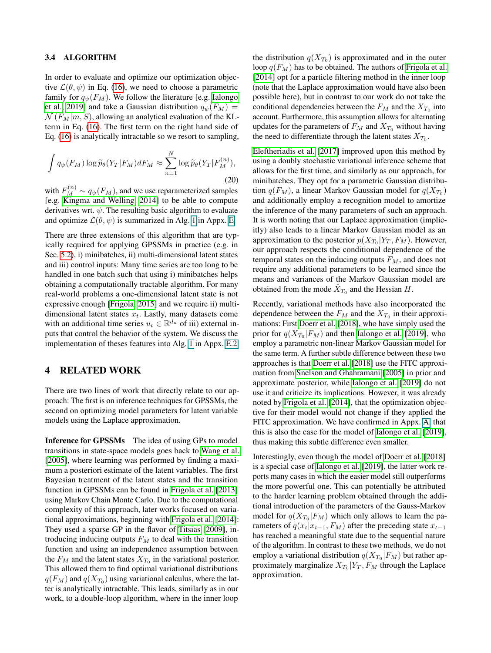### <span id="page-5-1"></span>3.4 ALGORITHM

In order to evaluate and optimize our optimization objective  $\mathcal{L}(\theta, \psi)$  in Eq. [\(16\)](#page-3-4), we need to choose a parametric family for  $q_{\psi}(F_M)$ . We follow the literature [e.g. [Ialongo](#page-9-3) [et al., 2019\]](#page-9-3) and take a Gaussian distribution  $q_{\psi}(F_M)$  =  $\mathcal{N}(F_M|m, S)$ , allowing an analytical evaluation of the KLterm in Eq. [\(16\)](#page-3-4). The first term on the right hand side of Eq. [\(16\)](#page-3-4) is analytically intractable so we resort to sampling,

$$
\int q_{\psi}(F_M) \log \widetilde{p}_{\theta}(Y_T|F_M) dF_M \approx \sum_{n=1}^N \log \widetilde{p}_{\theta}(Y_T|F_M^{(n)}),
$$
\n(20)

with  $F_M^{(n)} \sim q_\psi(F_M)$ , and we use reparameterized samples [e.g. [Kingma and Welling, 2014\]](#page-9-16) to be able to compute derivatives wrt.  $\psi$ . The resulting basic algorithm to evaluate and optimize  $\mathcal{L}(\theta, \psi)$  is summarized in Alg. 1 in Appx. E.

There are three extensions of this algorithm that are typically required for applying GPSSMs in practice (e.g. in Sec. [5.2\)](#page-7-0), i) minibatches, ii) multi-dimensional latent states and iii) control inputs: Many time series are too long to be handled in one batch such that using i) minibatches helps obtaining a computationally tractable algorithm. For many real-world problems a one-dimensional latent state is not expressive enough [\[Frigola, 2015\]](#page-9-1) and we require ii) multidimensional latent states  $x_t$ . Lastly, many datasets come with an additional time series  $u_t \in \mathbb{R}^{d_u}$  of iii) external inputs that control the behavior of the system. We discuss the implementation of theses features into Alg. 1 in Appx. E.2.

# <span id="page-5-0"></span>4 RELATED WORK

There are two lines of work that directly relate to our approach: The first is on inference techniques for GPSSMs, the second on optimizing model parameters for latent variable models using the Laplace approximation.

Inference for GPSSMs The idea of using GPs to model transitions in state-space models goes back to [Wang et al.](#page-10-1) [\[2005\]](#page-10-1), where learning was performed by finding a maximum a posteriori estimate of the latent variables. The first Bayesian treatment of the latent states and the transition function in GPSSMs can be found in [Frigola et al.](#page-9-17) [\[2013\]](#page-9-17) using Markov Chain Monte Carlo. Due to the computational complexity of this approach, later works focused on variational approximations, beginning with [Frigola et al.](#page-9-18) [\[2014\]](#page-9-18): They used a sparse GP in the flavor of [Titsias](#page-10-5) [\[2009\]](#page-10-5), introducing inducing outputs  $F_M$  to deal with the transition function and using an independence assumption between the  $F_M$  and the latent states  $X_{T_0}$  in the variational posterior. This allowed them to find optimal variational distributions  $q(F_M)$  and  $q(X_{T_0})$  using variational calculus, where the latter is analytically intractable. This leads, similarly as in our work, to a double-loop algorithm, where in the inner loop

the distribution  $q(X_{T_0})$  is approximated and in the outer loop  $q(F_M)$  has to be obtained. The authors of [Frigola et al.](#page-9-18) [\[2014\]](#page-9-18) opt for a particle filtering method in the inner loop (note that the Laplace approximation would have also been possible here), but in contrast to our work do not take the conditional dependencies between the  $F_M$  and the  $X_{T_0}$  into account. Furthermore, this assumption allows for alternating updates for the parameters of  $F_M$  and  $X_{T_0}$  without having the need to differentiate through the latent states  $X_{T_0}$ .

[Eleftheriadis et al.](#page-9-12) [\[2017\]](#page-9-12) improved upon this method by using a doubly stochastic variational inference scheme that allows for the first time, and similarly as our approach, for minibatches. They opt for a parametric Gaussian distribution  $q(F_M)$ , a linear Markov Gaussian model for  $q(X_{T_0})$ and additionally employ a recognition model to amortize the inference of the many parameters of such an approach. It is worth noting that our Laplace approximation (implicitly) also leads to a linear Markov Gaussian model as an approximation to the posterior  $p(X_{T_0}|Y_T, F_M)$ . However, our approach respects the conditional dependence of the temporal states on the inducing outputs  $F<sub>M</sub>$ , and does not require any additional parameters to be learned since the means and variances of the Markov Gaussian model are obtained from the mode  $\hat{X}_{T_0}$  and the Hessian H.

Recently, variational methods have also incorporated the dependence between the  $F_M$  and the  $X_{T_0}$  in their approximations: First [Doerr et al.](#page-9-4) [\[2018\]](#page-9-4), who have simply used the prior for  $q(X_{T_0}|F_M)$  and then [Ialongo et al.](#page-9-3) [\[2019\]](#page-9-3), who employ a parametric non-linear Markov Gaussian model for the same term. A further subtle difference between these two approaches is that [Doerr et al.](#page-9-4) [\[2018\]](#page-9-4) use the FITC approximation from [Snelson and Ghahramani](#page-10-4) [\[2005\]](#page-10-4) in prior and approximate posterior, while [Ialongo et al.](#page-9-3) [\[2019\]](#page-9-3) do not use it and criticize its implications. However, it was already noted by [Frigola et al.](#page-9-18) [\[2014\]](#page-9-18), that the optimization objective for their model would not change if they applied the FITC approximation. We have confirmed in Appx. A, that this is also the case for the model of [Ialongo et al.](#page-9-3) [\[2019\]](#page-9-3), thus making this subtle difference even smaller.

Interestingly, even though the model of [Doerr et al.](#page-9-4) [\[2018\]](#page-9-4) is a special case of [Ialongo et al.](#page-9-3) [\[2019\]](#page-9-3), the latter work reports many cases in which the easier model still outperforms the more powerful one. This can potentially be attributed to the harder learning problem obtained through the additional introduction of the parameters of the Gauss-Markov model for  $q(X_{T_0}|F_M)$  which only allows to learn the parameters of  $q(x_t|x_{t-1}, F_M)$  after the preceding state  $x_{t-1}$ has reached a meaningful state due to the sequential nature of the algorithm. In contrast to these two methods, we do not employ a variational distribution  $q(X_{T_0}|F_M)$  but rather approximately marginalize  $X_{T_0}|Y_T, F_M$  through the Laplace approximation.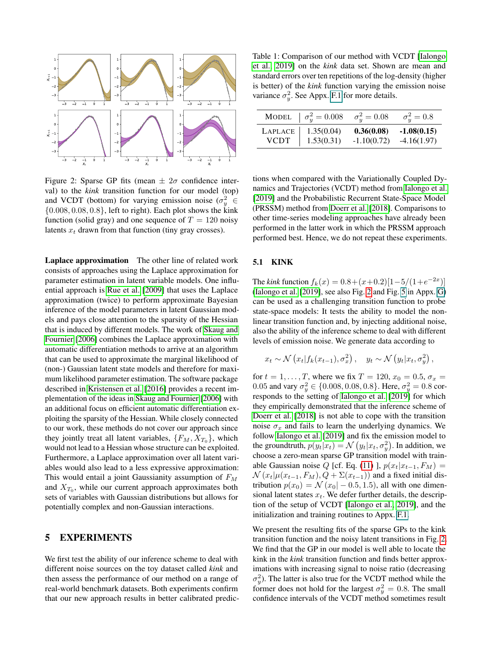<span id="page-6-1"></span>

Figure 2: Sparse GP fits (mean  $\pm 2\sigma$  confidence interval) to the *kink* transition function for our model (top) and VCDT (bottom) for varying emission noise ( $\sigma_y^2 \in$  $\{0.008, 0.08, 0.8\}$ , left to right). Each plot shows the kink function (solid gray) and one sequence of  $T = 120$  noisy latents  $x_t$  drawn from that function (tiny gray crosses).

Laplace approximation The other line of related work consists of approaches using the Laplace approximation for parameter estimation in latent variable models. One influential approach is [Rue et al.](#page-10-3) [\[2009\]](#page-10-3) that uses the Laplace approximation (twice) to perform approximate Bayesian inference of the model parameters in latent Gaussian models and pays close attention to the sparsity of the Hessian that is induced by different models. The work of [Skaug and](#page-10-2) [Fournier](#page-10-2) [\[2006\]](#page-10-2) combines the Laplace approximation with automatic differentiation methods to arrive at an algorithm that can be used to approximate the marginal likelihood of (non-) Gaussian latent state models and therefore for maximum likelihood parameter estimation. The software package described in [Kristensen et al.](#page-9-11) [\[2016\]](#page-9-11) provides a recent implementation of the ideas in [Skaug and Fournier](#page-10-2) [\[2006\]](#page-10-2) with an additional focus on efficient automatic differentiation exploiting the sparsity of the Hessian. While closely connected to our work, these methods do not cover our approach since they jointly treat all latent variables,  $\{F_M, X_{T_0}\}\$ , which would not lead to a Hessian whose structure can be exploited. Furthermore, a Laplace approximation over all latent variables would also lead to a less expressive approximation: This would entail a joint Gaussianity assumption of  $F<sub>M</sub>$ and  $X_{T_0}$ , while our current approach approximates both sets of variables with Gaussian distributions but allows for potentially complex and non-Gaussian interactions.

# <span id="page-6-0"></span>5 EXPERIMENTS

We first test the ability of our inference scheme to deal with different noise sources on the toy dataset called *kink* and then assess the performance of our method on a range of real-world benchmark datasets. Both experiments confirm that our new approach results in better calibrated predic-

<span id="page-6-2"></span>Table 1: Comparison of our method with VCDT [\[Ialongo](#page-9-3) [et al., 2019\]](#page-9-3) on the *kink* data set. Shown are mean and standard errors over ten repetitions of the log-density (higher is better) of the *kink* function varying the emission noise variance  $\sigma_y^2$ . See Appx. F.1 for more details.

|         | MODEL $\sigma_u^2 = 0.008$ | $\sigma_{u}^{2} = 0.08$ | $\sigma_u^2=0.8$ |
|---------|----------------------------|-------------------------|------------------|
| LAPLACE | 1.35(0.04)                 | 0.36(0.08)              | $-1.08(0.15)$    |
| VCDT    | 1.53(0.31)                 | $-1.10(0.72)$           | $-4.16(1.97)$    |

tions when compared with the Variationally Coupled Dynamics and Trajectories (VCDT) method from [Ialongo et al.](#page-9-3) [\[2019\]](#page-9-3) and the Probabilistic Recurrent State-Space Model (PRSSM) method from [Doerr et al.](#page-9-4) [\[2018\]](#page-9-4). Comparisons to other time-series modeling approaches have already been performed in the latter work in which the PRSSM approach performed best. Hence, we do not repeat these experiments.

#### 5.1 KINK

The *kink* function  $f_k(x) = 0.8 + (x+0.2)[1-5/(1+e^{-2x})]$ [\(Ialongo et al.](#page-9-3) [\[2019\]](#page-9-3), see also Fig. [2](#page-6-1) and Fig. 5 in Appx. G) can be used as a challenging transition function to probe state-space models: It tests the ability to model the nonlinear transition function and, by injecting additional noise, also the ability of the inference scheme to deal with different levels of emission noise. We generate data according to

$$
x_t \sim \mathcal{N}\left(x_t|f_k(x_{t-1}), \sigma_x^2\right), \quad y_t \sim \mathcal{N}\left(y_t|x_t, \sigma_y^2\right),
$$

for  $t = 1, ..., T$ , where we fix  $T = 120, x_0 = 0.5, \sigma_x =$ 0.05 and vary  $\sigma_y^2 \in \{0.008, 0.08, 0.8\}$ . Here,  $\sigma_y^2 = 0.8$  corresponds to the setting of [Ialongo et al.](#page-9-3) [\[2019\]](#page-9-3) for which they empirically demonstrated that the inference scheme of [Doerr et al.](#page-9-4) [\[2018\]](#page-9-4) is not able to cope with the transition noise  $\sigma_x$  and fails to learn the underlying dynamics. We follow [Ialongo et al.](#page-9-3) [\[2019\]](#page-9-3) and fix the emission model to the groundtruth,  $p(y_t|x_t) = \mathcal{N}(y_t|x_t, \sigma_y^2)$ . In addition, we choose a zero-mean sparse GP transition model with train-able Gaussian noise Q [cf. Eq. [\(11\)](#page-2-5) ],  $p(x_t|x_{t-1}, F_M)$  =  $\mathcal{N}(x_t|\mu(x_{t-1}, F_M), Q + \Sigma(x_{t-1}))$  and a fixed initial distribution  $p(x_0) = \mathcal{N}(x_0 \mid -0.5, 1.5)$ , all with one dimensional latent states  $x_t$ . We defer further details, the description of the setup of VCDT [\[Ialongo et al., 2019\]](#page-9-3), and the initialization and training routines to Appx. F.1.

We present the resulting fits of the sparse GPs to the kink transition function and the noisy latent transitions in Fig. [2.](#page-6-1) We find that the GP in our model is well able to locate the kink in the *kink* transition function and finds better approximations with increasing signal to noise ratio (decreasing  $\sigma_y^2$ ). The latter is also true for the VCDT method while the former does not hold for the largest  $\sigma_y^2 = 0.8$ . The small confidence intervals of the VCDT method sometimes result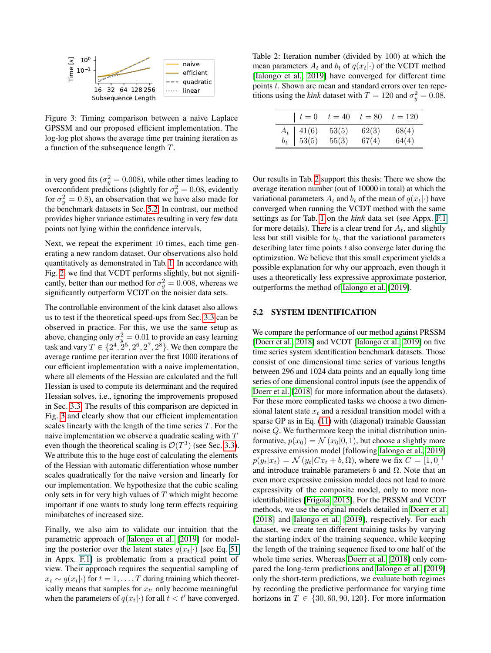<span id="page-7-1"></span>

Figure 3: Timing comparison between a naive Laplace GPSSM and our proposed efficient implementation. The log-log plot shows the average time per training iteration as a function of the subsequence length T.

in very good fits ( $\sigma_y^2 = 0.008$ ), while other times leading to overconfident predictions (slightly for  $\sigma_y^2 = 0.08$ , evidently for  $\sigma_y^2 = 0.8$ ), an observation that we have also made for the benchmark datasets in Sec. [5.2.](#page-7-0) In contrast, our method provides higher variance estimates resulting in very few data points not lying within the confidence intervals.

Next, we repeat the experiment 10 times, each time generating a new random dataset. Our observations also hold quantitatively as demonstrated in Tab. [1.](#page-6-2) In accordance with Fig. [2,](#page-6-1) we find that VCDT performs slightly, but not significantly, better than our method for  $\sigma_y^2 = 0.008$ , whereas we significantly outperform VCDT on the noisier data sets.

The controllable environment of the kink dataset also allows us to test if the theoretical speed-ups from Sec. [3.3](#page-4-0) can be observed in practice. For this, we use the same setup as above, changing only  $\sigma_y^2 = 0.01$  to provide an easy learning task and vary  $T \in \{2^4, 2^5, 2^6, 2^7, 2^8\}$ . We then compare the average runtime per iteration over the first 1000 iterations of our efficient implementation with a naive implementation, where all elements of the Hessian are calculated and the full Hessian is used to compute its determinant and the required Hessian solves, i.e., ignoring the improvements proposed in Sec. [3.3.](#page-4-0) The results of this comparison are depicted in Fig. [3](#page-7-1) and clearly show that our efficient implementation scales linearly with the length of the time series  $T$ . For the naive implementation we observe a quadratic scaling with T even though the theoretical scaling is  $\mathcal{O}(T^3)$  (see Sec. [3.3\)](#page-4-0). We attribute this to the huge cost of calculating the elements of the Hessian with automatic differentiation whose number scales quadratically for the naive version and linearly for our implementation. We hypothesize that the cubic scaling only sets in for very high values of  $T$  which might become important if one wants to study long term effects requiring minibatches of increased size.

Finally, we also aim to validate our intuition that the parametric approach of [Ialongo et al.](#page-9-3) [\[2019\]](#page-9-3) for modeling the posterior over the latent states  $q(x_t|\cdot)$  [see Eq. 51] in Appx. F.1] is problematic from a practical point of view. Their approach requires the sequential sampling of  $x_t \sim q(x_t|\cdot)$  for  $t = 1, \ldots, T$  during training which theoretically means that samples for  $x_{t'}$  only become meaningful when the parameters of  $q(x_t|\cdot)$  for all  $t < t'$  have converged.

<span id="page-7-2"></span>Table 2: Iteration number (divided by 100) at which the mean parameters  $A_t$  and  $b_t$  of  $q(x_t|\cdot)$  of the VCDT method [\[Ialongo et al., 2019\]](#page-9-3) have converged for different time points  $t$ . Shown are mean and standard errors over ten repetitions using the *kink* dataset with  $T = 120$  and  $\sigma_y^2 = 0.08$ .

| $t=0$                                                       | $t=40$         | $t=80$         | $t = 120$      |
|-------------------------------------------------------------|----------------|----------------|----------------|
| $\begin{array}{c c} A_t & 41(6) \\ b_t & 53(5) \end{array}$ | 53(5)<br>55(3) | 62(3)<br>67(4) | 68(4)<br>64(4) |

Our results in Tab. [2](#page-7-2) support this thesis: There we show the average iteration number (out of 10000 in total) at which the variational parameters  $A_t$  and  $b_t$  of the mean of  $q(x_t|\cdot)$  have converged when running the VCDT method with the same settings as for Tab. [1](#page-6-2) on the *kink* data set (see Appx. F.1 for more details). There is a clear trend for  $A_t$ , and slightly less but still visible for  $b_t$ , that the variational parameters describing later time points  $t$  also converge later during the optimization. We believe that this small experiment yields a possible explanation for why our approach, even though it uses a theoretically less expressive approximate posterior, outperforms the method of [Ialongo et al.](#page-9-3) [\[2019\]](#page-9-3).

## <span id="page-7-0"></span>5.2 SYSTEM IDENTIFICATION

We compare the performance of our method against PRSSM [\[Doerr et al., 2018\]](#page-9-4) and VCDT [\[Ialongo et al., 2019\]](#page-9-3) on five time series system identification benchmark datasets. Those consist of one dimensional time series of various lengths between 296 and 1024 data points and an equally long time series of one dimensional control inputs (see the appendix of [Doerr et al.](#page-9-4) [\[2018\]](#page-9-4) for more information about the datasets). For these more complicated tasks we choose a two dimensional latent state  $x_t$  and a residual transition model with a sparse GP as in Eq. [\(11\)](#page-2-5) with (diagonal) trainable Gaussian noise Q. We furthermore keep the initial distribution uninformative,  $p(x_0) = \mathcal{N}(x_0|0, 1)$ , but choose a slightly more expressive emission model [following [Ialongo et al., 2019\]](#page-9-3)  $p(y_t|x_t) = \mathcal{N}(y_t|Cx_t + b, \Omega)$ , where we fix  $C = [1, 0]^\top$ and introduce trainable parameters  $b$  and  $\Omega$ . Note that an even more expressive emission model does not lead to more expressivity of the composite model, only to more nonidentifiabilities [\[Frigola, 2015\]](#page-9-1). For the PRSSM and VCDT methods, we use the original models detailed in [Doerr et al.](#page-9-4) [\[2018\]](#page-9-4) and [Ialongo et al.](#page-9-3) [\[2019\]](#page-9-3), respectively. For each dataset, we create ten different training tasks by varying the starting index of the training sequence, while keeping the length of the training sequence fixed to one half of the whole time series. Whereas [Doerr et al.](#page-9-4) [\[2018\]](#page-9-4) only compared the long-term predictions and [Ialongo et al.](#page-9-3) [\[2019\]](#page-9-3) only the short-term predictions, we evaluate both regimes by recording the predictive performance for varying time horizons in  $T \in \{30, 60, 90, 120\}$ . For more information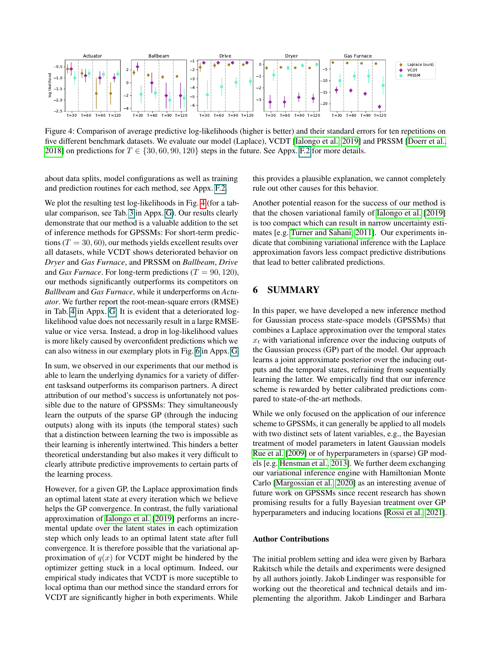<span id="page-8-1"></span>

Figure 4: Comparison of average predictive log-likelihoods (higher is better) and their standard errors for ten repetitions on five different benchmark datasets. We evaluate our model (Laplace), VCDT [\[Ialongo et al., 2019\]](#page-9-3) and PRSSM [\[Doerr et al.,](#page-9-4) [2018\]](#page-9-4) on predictions for  $T \in \{30, 60, 90, 120\}$  steps in the future. See Appx. F.2 for more details.

about data splits, model configurations as well as training and prediction routines for each method, see Appx. F.2.

We plot the resulting test log-likelihoods in Fig. [4](#page-8-1) (for a tabular comparison, see Tab. 3 in Appx. G). Our results clearly demonstrate that our method is a valuable addition to the set of inference methods for GPSSMs: For short-term predictions ( $T = 30, 60$ ), our methods yields excellent results over all datasets, while VCDT shows deteriorated behavior on *Dryer* and *Gas Furnace*, and PRSSM on *Ballbeam*, *Drive* and *Gas Furnace*. For long-term predictions  $(T = 90, 120)$ , our methods significantly outperforms its competitors on *Ballbeam* and *Gas Furnace*, while it underperforms on *Actuator*. We further report the root-mean-square errors (RMSE) in Tab. 4 in Appx. G. It is evident that a deteriorated loglikelihood value does not necessarily result in a large RMSEvalue or vice versa. Instead, a drop in log-likelihood values is more likely caused by overconfident predictions which we can also witness in our exemplary plots in Fig. 6 in Appx. G.

In sum, we observed in our experiments that our method is able to learn the underlying dynamics for a variety of different tasksand outperforms its comparison partners. A direct attribution of our method's success is unfortunately not possible due to the nature of GPSSMs: They simultaneously learn the outputs of the sparse GP (through the inducing outputs) along with its inputs (the temporal states) such that a distinction between learning the two is impossible as their learning is inherently intertwined. This hinders a better theoretical understanding but also makes it very difficult to clearly attribute predictive improvements to certain parts of the learning process.

However, for a given GP, the Laplace approximation finds an optimal latent state at every iteration which we believe helps the GP convergence. In contrast, the fully variational approximation of [Ialongo et al.](#page-9-3) [\[2019\]](#page-9-3) performs an incremental update over the latent states in each optimization step which only leads to an optimal latent state after full convergence. It is therefore possible that the variational approximation of  $q(x)$  for VCDT might be hindered by the optimizer getting stuck in a local optimum. Indeed, our empirical study indicates that VCDT is more suceptible to local optima than our method since the standard errors for VCDT are significantly higher in both experiments. While

this provides a plausible explanation, we cannot completely rule out other causes for this behavior.

Another potential reason for the success of our method is that the chosen variational family of [Ialongo et al.](#page-9-3) [\[2019\]](#page-9-3) is too compact which can result in narrow uncertainty estimates [e.g. [Turner and Sahani, 2011\]](#page-10-6). Our experiments indicate that combining variational inference with the Laplace approximation favors less compact predictive distributions that lead to better calibrated predictions.

# <span id="page-8-0"></span>6 SUMMARY

In this paper, we have developed a new inference method for Gaussian process state-space models (GPSSMs) that combines a Laplace approximation over the temporal states  $x_t$  with variational inference over the inducing outputs of the Gaussian process (GP) part of the model. Our approach learns a joint approximate posterior over the inducing outputs and the temporal states, refraining from sequentially learning the latter. We empirically find that our inference scheme is rewarded by better calibrated predictions compared to state-of-the-art methods.

While we only focused on the application of our inference scheme to GPSSMs, it can generally be applied to all models with two distinct sets of latent variables, e.g., the Bayesian treatment of model parameters in latent Gaussian models [Rue et al.](#page-10-3) [\[2009\]](#page-10-3) or of hyperparameters in (sparse) GP models [e.g. [Hensman et al., 2013\]](#page-9-5). We further deem exchanging our variational inference engine with Hamiltonian Monte Carlo [\[Margossian et al., 2020\]](#page-9-19) as an interesting avenue of future work on GPSSMs since recent research has shown promising results for a fully Bayesian treatment over GP hyperparameters and inducing locations [\[Rossi et al., 2021\]](#page-9-20).

#### Author Contributions

The initial problem setting and idea were given by Barbara Rakitsch while the details and experiments were designed by all authors jointly. Jakob Lindinger was responsible for working out the theoretical and technical details and implementing the algorithm. Jakob Lindinger and Barbara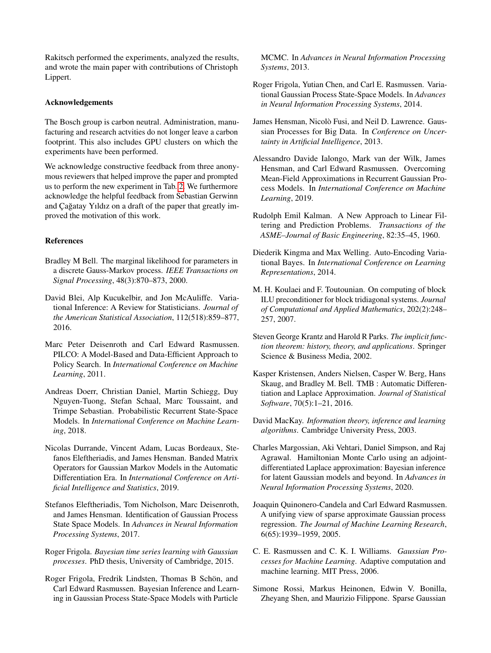Rakitsch performed the experiments, analyzed the results, and wrote the main paper with contributions of Christoph Lippert.

### Acknowledgements

The Bosch group is carbon neutral. Administration, manufacturing and research actvities do not longer leave a carbon footprint. This also includes GPU clusters on which the experiments have been performed.

We acknowledge constructive feedback from three anonymous reviewers that helped improve the paper and prompted us to perform the new experiment in Tab. [2.](#page-7-2) We furthermore acknowledge the helpful feedback from Sebastian Gerwinn and Çağatay Yıldız on a draft of the paper that greatly improved the motivation of this work.

# References

- <span id="page-9-8"></span>Bradley M Bell. The marginal likelihood for parameters in a discrete Gauss-Markov process. *IEEE Transactions on Signal Processing*, 48(3):870–873, 2000.
- <span id="page-9-13"></span>David Blei, Alp Kucukelbir, and Jon McAuliffe. Variational Inference: A Review for Statisticians. *Journal of the American Statistical Association*, 112(518):859–877, 2016.
- <span id="page-9-2"></span>Marc Peter Deisenroth and Carl Edward Rasmussen. PILCO: A Model-Based and Data-Efficient Approach to Policy Search. In *International Conference on Machine Learning*, 2011.
- <span id="page-9-4"></span>Andreas Doerr, Christian Daniel, Martin Schiegg, Duy Nguyen-Tuong, Stefan Schaal, Marc Toussaint, and Trimpe Sebastian. Probabilistic Recurrent State-Space Models. In *International Conference on Machine Learning*, 2018.
- <span id="page-9-14"></span>Nicolas Durrande, Vincent Adam, Lucas Bordeaux, Stefanos Eleftheriadis, and James Hensman. Banded Matrix Operators for Gaussian Markov Models in the Automatic Differentiation Era. In *International Conference on Artificial Intelligence and Statistics*, 2019.
- <span id="page-9-12"></span>Stefanos Eleftheriadis, Tom Nicholson, Marc Deisenroth, and James Hensman. Identification of Gaussian Process State Space Models. In *Advances in Neural Information Processing Systems*, 2017.
- <span id="page-9-1"></span>Roger Frigola. *Bayesian time series learning with Gaussian processes*. PhD thesis, University of Cambridge, 2015.
- <span id="page-9-17"></span>Roger Frigola, Fredrik Lindsten, Thomas B Schön, and Carl Edward Rasmussen. Bayesian Inference and Learning in Gaussian Process State-Space Models with Particle

MCMC. In *Advances in Neural Information Processing Systems*, 2013.

- <span id="page-9-18"></span>Roger Frigola, Yutian Chen, and Carl E. Rasmussen. Variational Gaussian Process State-Space Models. In *Advances in Neural Information Processing Systems*, 2014.
- <span id="page-9-5"></span>James Hensman, Nicolò Fusi, and Neil D. Lawrence. Gaussian Processes for Big Data. In *Conference on Uncertainty in Artificial Intelligence*, 2013.
- <span id="page-9-3"></span>Alessandro Davide Ialongo, Mark van der Wilk, James Hensman, and Carl Edward Rasmussen. Overcoming Mean-Field Approximations in Recurrent Gaussian Process Models. In *International Conference on Machine Learning*, 2019.
- <span id="page-9-10"></span>Rudolph Emil Kalman. A New Approach to Linear Filtering and Prediction Problems. *Transactions of the ASME–Journal of Basic Engineering*, 82:35–45, 1960.
- <span id="page-9-16"></span>Diederik Kingma and Max Welling. Auto-Encoding Variational Bayes. In *International Conference on Learning Representations*, 2014.
- <span id="page-9-15"></span>M. H. Koulaei and F. Toutounian. On computing of block ILU preconditioner for block tridiagonal systems. *Journal of Computational and Applied Mathematics*, 202(2):248– 257, 2007.
- <span id="page-9-7"></span>Steven George Krantz and Harold R Parks. *The implicit function theorem: history, theory, and applications*. Springer Science & Business Media, 2002.
- <span id="page-9-11"></span>Kasper Kristensen, Anders Nielsen, Casper W. Berg, Hans Skaug, and Bradley M. Bell. TMB : Automatic Differentiation and Laplace Approximation. *Journal of Statistical Software*, 70(5):1–21, 2016.
- <span id="page-9-6"></span>David MacKay. *Information theory, inference and learning algorithms*. Cambridge University Press, 2003.
- <span id="page-9-19"></span>Charles Margossian, Aki Vehtari, Daniel Simpson, and Raj Agrawal. Hamiltonian Monte Carlo using an adjointdifferentiated Laplace approximation: Bayesian inference for latent Gaussian models and beyond. In *Advances in Neural Information Processing Systems*, 2020.
- <span id="page-9-9"></span>Joaquin Quinonero-Candela and Carl Edward Rasmussen. A unifying view of sparse approximate Gaussian process regression. *The Journal of Machine Learning Research*, 6(65):1939–1959, 2005.
- <span id="page-9-0"></span>C. E. Rasmussen and C. K. I. Williams. *Gaussian Processes for Machine Learning*. Adaptive computation and machine learning. MIT Press, 2006.
- <span id="page-9-20"></span>Simone Rossi, Markus Heinonen, Edwin V. Bonilla, Zheyang Shen, and Maurizio Filippone. Sparse Gaussian